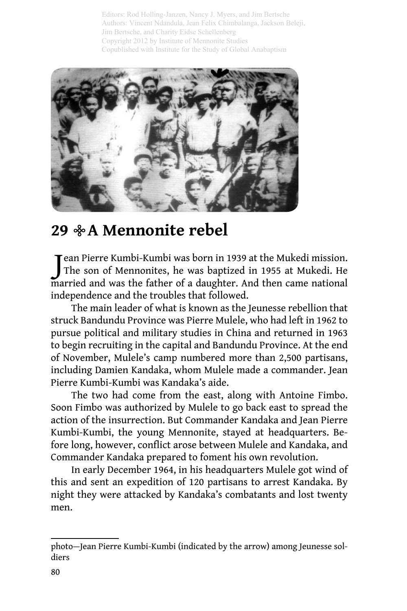Editors: Rod Holling-Janzen, Nancy J. Myers, and Jim Bertsche Authors: Vincent Ndandula, Jean Felix Chimbalanga, Jackson Beleji, Jim Bertsche, and Charity Eidse Schellenberg Copyright 2012 by Institute of Mennonite Studies Copublished with Institute for the Study of Global Anabaptism



## **29** <sup>1</sup> **A Mennonite rebel**

Jean Pierre Kumbi-Kumbi was born in 1939 at the Mukedi mission.<br>The son of Mennonites, he was baptized in 1955 at Mukedi. He The son of Mennonites, he was baptized in 1955 at Mukedi. He married and was the father of a daughter. And then came national independence and the troubles that followed.

The main leader of what is known as the Jeunesse rebellion that struck Bandundu Province was Pierre Mulele, who had left in 1962 to pursue political and military studies in China and returned in 1963 to begin recruiting in the capital and Bandundu Province. At the end of November, Mulele's camp numbered more than 2,500 partisans, including Damien Kandaka, whom Mulele made a commander. Jean Pierre Kumbi-Kumbi was Kandaka's aide.

The two had come from the east, along with Antoine Fimbo. Soon Fimbo was authorized by Mulele to go back east to spread the action of the insurrection. But Commander Kandaka and Jean Pierre Kumbi-Kumbi, the young Mennonite, stayed at headquarters. Before long, however, conflict arose between Mulele and Kandaka, and Commander Kandaka prepared to foment his own revolution.

In early December 1964, in his headquarters Mulele got wind of this and sent an expedition of 120 partisans to arrest Kandaka. By night they were attacked by Kandaka's combatants and lost twenty men.

photo—Jean Pierre Kumbi-Kumbi (indicated by the arrow) among Jeunesse soldiers